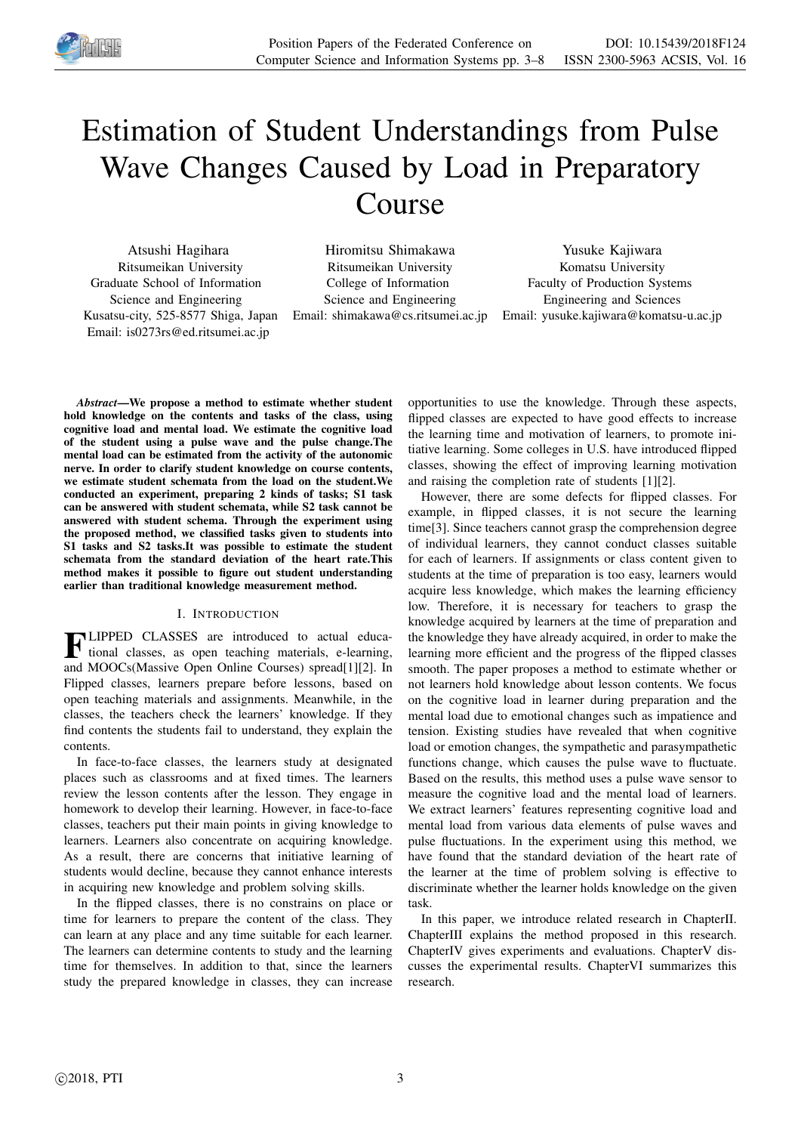

# Estimation of Student Understandings from Pulse Wave Changes Caused by Load in Preparatory Course

Atsushi Hagihara Ritsumeikan University Graduate School of Information Science and Engineering Kusatsu-city, 525-8577 Shiga, Japan Email: is0273rs@ed.ritsumei.ac.jp

Hiromitsu Shimakawa Ritsumeikan University College of Information Science and Engineering Email: shimakawa@cs.ritsumei.ac.jp

Yusuke Kajiwara Komatsu University Faculty of Production Systems Engineering and Sciences Email: yusuke.kajiwara@komatsu-u.ac.jp

*Abstract*—We propose a method to estimate whether student hold knowledge on the contents and tasks of the class, using cognitive load and mental load. We estimate the cognitive load of the student using a pulse wave and the pulse change.The mental load can be estimated from the activity of the autonomic nerve. In order to clarify student knowledge on course contents, we estimate student schemata from the load on the student.We conducted an experiment, preparing 2 kinds of tasks; S1 task can be answered with student schemata, while S2 task cannot be answered with student schema. Through the experiment using the proposed method, we classified tasks given to students into S1 tasks and S2 tasks.It was possible to estimate the student schemata from the standard deviation of the heart rate.This method makes it possible to figure out student understanding earlier than traditional knowledge measurement method.

# I. INTRODUCTION

**FLIPPED CLASSES** are introduced to actual educa-<br>tional classes, as open teaching materials, e-learning, tional classes, as open teaching materials, e-learning, and MOOCs(Massive Open Online Courses) spread[1][2]. In Flipped classes, learners prepare before lessons, based on open teaching materials and assignments. Meanwhile, in the classes, the teachers check the learners' knowledge. If they find contents the students fail to understand, they explain the contents.

In face-to-face classes, the learners study at designated places such as classrooms and at fixed times. The learners review the lesson contents after the lesson. They engage in homework to develop their learning. However, in face-to-face classes, teachers put their main points in giving knowledge to learners. Learners also concentrate on acquiring knowledge. As a result, there are concerns that initiative learning of students would decline, because they cannot enhance interests in acquiring new knowledge and problem solving skills.

In the flipped classes, there is no constrains on place or time for learners to prepare the content of the class. They can learn at any place and any time suitable for each learner. The learners can determine contents to study and the learning time for themselves. In addition to that, since the learners study the prepared knowledge in classes, they can increase

opportunities to use the knowledge. Through these aspects, flipped classes are expected to have good effects to increase the learning time and motivation of learners, to promote initiative learning. Some colleges in U.S. have introduced flipped classes, showing the effect of improving learning motivation and raising the completion rate of students [1][2].

However, there are some defects for flipped classes. For example, in flipped classes, it is not secure the learning time[3]. Since teachers cannot grasp the comprehension degree of individual learners, they cannot conduct classes suitable for each of learners. If assignments or class content given to students at the time of preparation is too easy, learners would acquire less knowledge, which makes the learning efficiency low. Therefore, it is necessary for teachers to grasp the knowledge acquired by learners at the time of preparation and the knowledge they have already acquired, in order to make the learning more efficient and the progress of the flipped classes smooth. The paper proposes a method to estimate whether or not learners hold knowledge about lesson contents. We focus on the cognitive load in learner during preparation and the mental load due to emotional changes such as impatience and tension. Existing studies have revealed that when cognitive load or emotion changes, the sympathetic and parasympathetic functions change, which causes the pulse wave to fluctuate. Based on the results, this method uses a pulse wave sensor to measure the cognitive load and the mental load of learners. We extract learners' features representing cognitive load and mental load from various data elements of pulse waves and pulse fluctuations. In the experiment using this method, we have found that the standard deviation of the heart rate of the learner at the time of problem solving is effective to discriminate whether the learner holds knowledge on the given task.

In this paper, we introduce related research in ChapterII. ChapterIII explains the method proposed in this research. ChapterIV gives experiments and evaluations. ChapterV discusses the experimental results. ChapterVI summarizes this research.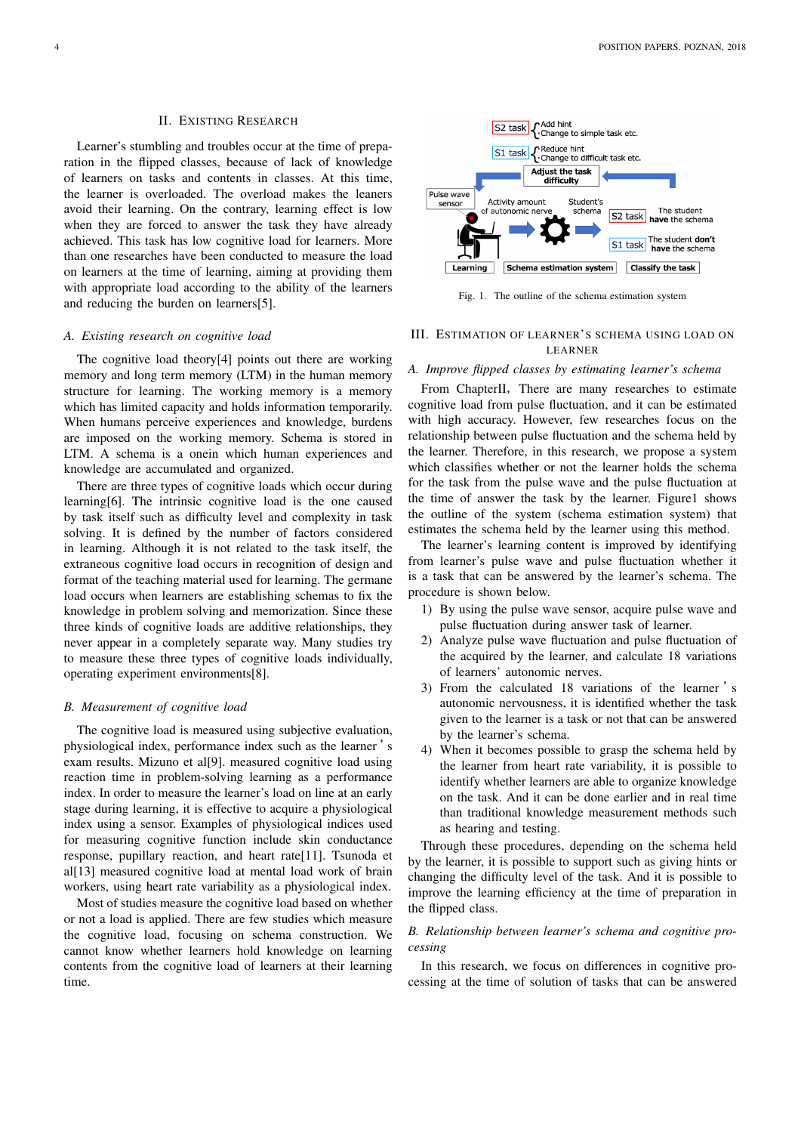#### II. EXISTING RESEARCH

Learner's stumbling and troubles occur at the time of preparation in the flipped classes, because of lack of knowledge of learners on tasks and contents in classes. At this time, the learner is overloaded. The overload makes the leaners avoid their learning. On the contrary, learning effect is low when they are forced to answer the task they have already achieved. This task has low cognitive load for learners. More than one researches have been conducted to measure the load on learners at the time of learning, aiming at providing them with appropriate load according to the ability of the learners and reducing the burden on learners[5].

## *A. Existing research on cognitive load*

The cognitive load theory[4] points out there are working memory and long term memory (LTM) in the human memory structure for learning. The working memory is a memory which has limited capacity and holds information temporarily. When humans perceive experiences and knowledge, burdens are imposed on the working memory. Schema is stored in LTM. A schema is a onein which human experiences and knowledge are accumulated and organized.

There are three types of cognitive loads which occur during learning[6]. The intrinsic cognitive load is the one caused by task itself such as difficulty level and complexity in task solving. It is defined by the number of factors considered in learning. Although it is not related to the task itself, the extraneous cognitive load occurs in recognition of design and format of the teaching material used for learning. The germane load occurs when learners are establishing schemas to fix the knowledge in problem solving and memorization. Since these three kinds of cognitive loads are additive relationships, they never appear in a completely separate way. Many studies try to measure these three types of cognitive loads individually, operating experiment environments[8].

## *B. Measurement of cognitive load*

The cognitive load is measured using subjective evaluation, physiological index, performance index such as the learner 's exam results. Mizuno et al[9]. measured cognitive load using reaction time in problem-solving learning as a performance index. In order to measure the learner's load on line at an early stage during learning, it is effective to acquire a physiological index using a sensor. Examples of physiological indices used for measuring cognitive function include skin conductance response, pupillary reaction, and heart rate[11]. Tsunoda et al[13] measured cognitive load at mental load work of brain workers, using heart rate variability as a physiological index.

Most of studies measure the cognitive load based on whether or not a load is applied. There are few studies which measure the cognitive load, focusing on schema construction. We cannot know whether learners hold knowledge on learning contents from the cognitive load of learners at their learning time.



Fig. 1. The outline of the schema estimation system

# III. ESTIMATION OF LEARNER'S SCHEMA USING LOAD ON LEARNER

#### *A. Improve flipped classes by estimating learner's schema*

From ChapterII, There are many researches to estimate cognitive load from pulse fluctuation, and it can be estimated with high accuracy. However, few researches focus on the relationship between pulse fluctuation and the schema held by the learner. Therefore, in this research, we propose a system which classifies whether or not the learner holds the schema for the task from the pulse wave and the pulse fluctuation at the time of answer the task by the learner. Figure1 shows the outline of the system (schema estimation system) that estimates the schema held by the learner using this method.

The learner's learning content is improved by identifying from learner's pulse wave and pulse fluctuation whether it is a task that can be answered by the learner's schema. The procedure is shown below.

- 1) By using the pulse wave sensor, acquire pulse wave and pulse fluctuation during answer task of learner.
- 2) Analyze pulse wave fluctuation and pulse fluctuation of the acquired by the learner, and calculate 18 variations of learners' autonomic nerves.
- 3) From the calculated 18 variations of the learner 's autonomic nervousness, it is identified whether the task given to the learner is a task or not that can be answered by the learner's schema.
- 4) When it becomes possible to grasp the schema held by the learner from heart rate variability, it is possible to identify whether learners are able to organize knowledge on the task. And it can be done earlier and in real time than traditional knowledge measurement methods such as hearing and testing.

Through these procedures, depending on the schema held by the learner, it is possible to support such as giving hints or changing the difficulty level of the task. And it is possible to improve the learning efficiency at the time of preparation in the flipped class.

# *B. Relationship between learner's schema and cognitive processing*

In this research, we focus on differences in cognitive processing at the time of solution of tasks that can be answered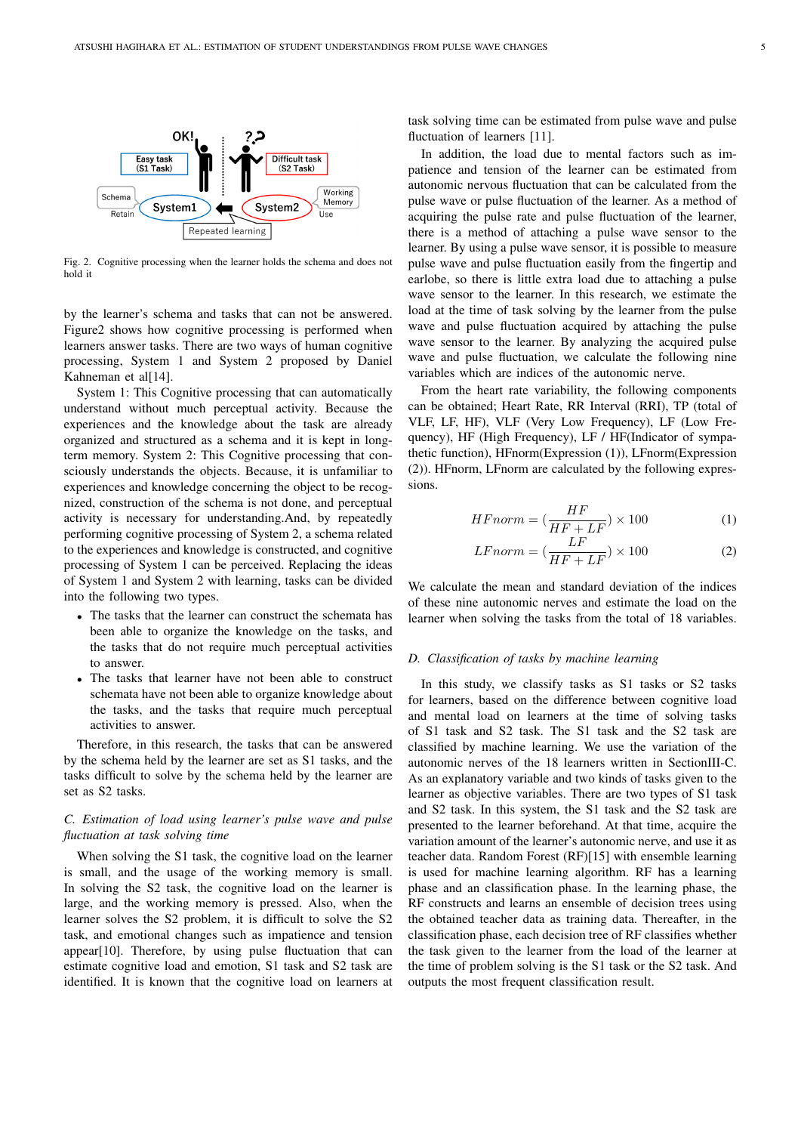

Fig. 2. Cognitive processing when the learner holds the schema and does not hold it

by the learner's schema and tasks that can not be answered. Figure2 shows how cognitive processing is performed when learners answer tasks. There are two ways of human cognitive processing, System 1 and System 2 proposed by Daniel Kahneman et al[14].

System 1: This Cognitive processing that can automatically understand without much perceptual activity. Because the experiences and the knowledge about the task are already organized and structured as a schema and it is kept in longterm memory. System 2: This Cognitive processing that consciously understands the objects. Because, it is unfamiliar to experiences and knowledge concerning the object to be recognized, construction of the schema is not done, and perceptual activity is necessary for understanding.And, by repeatedly performing cognitive processing of System 2, a schema related to the experiences and knowledge is constructed, and cognitive processing of System 1 can be perceived. Replacing the ideas of System 1 and System 2 with learning, tasks can be divided into the following two types.

- The tasks that the learner can construct the schemata has been able to organize the knowledge on the tasks, and the tasks that do not require much perceptual activities to answer.
- The tasks that learner have not been able to construct schemata have not been able to organize knowledge about the tasks, and the tasks that require much perceptual activities to answer.

Therefore, in this research, the tasks that can be answered by the schema held by the learner are set as S1 tasks, and the tasks difficult to solve by the schema held by the learner are set as S2 tasks.

# *C. Estimation of load using learner's pulse wave and pulse fluctuation at task solving time*

When solving the S1 task, the cognitive load on the learner is small, and the usage of the working memory is small. In solving the S2 task, the cognitive load on the learner is large, and the working memory is pressed. Also, when the learner solves the S2 problem, it is difficult to solve the S2 task, and emotional changes such as impatience and tension appear[10]. Therefore, by using pulse fluctuation that can estimate cognitive load and emotion, S1 task and S2 task are identified. It is known that the cognitive load on learners at

task solving time can be estimated from pulse wave and pulse fluctuation of learners [11].

In addition, the load due to mental factors such as impatience and tension of the learner can be estimated from autonomic nervous fluctuation that can be calculated from the pulse wave or pulse fluctuation of the learner. As a method of acquiring the pulse rate and pulse fluctuation of the learner, there is a method of attaching a pulse wave sensor to the learner. By using a pulse wave sensor, it is possible to measure pulse wave and pulse fluctuation easily from the fingertip and earlobe, so there is little extra load due to attaching a pulse wave sensor to the learner. In this research, we estimate the load at the time of task solving by the learner from the pulse wave and pulse fluctuation acquired by attaching the pulse wave sensor to the learner. By analyzing the acquired pulse wave and pulse fluctuation, we calculate the following nine variables which are indices of the autonomic nerve.

From the heart rate variability, the following components can be obtained; Heart Rate, RR Interval (RRI), TP (total of VLF, LF, HF), VLF (Very Low Frequency), LF (Low Frequency), HF (High Frequency), LF / HF(Indicator of sympathetic function), HFnorm(Expression (1)), LFnorm(Expression (2)). HFnorm, LFnorm are calculated by the following expressions.

$$
HFnorm = \left(\frac{HF}{HF + LF}\right) \times 100\tag{1}
$$

$$
LF norm = \left(\frac{LF}{HF + LF}\right) \times 100\tag{2}
$$

We calculate the mean and standard deviation of the indices of these nine autonomic nerves and estimate the load on the learner when solving the tasks from the total of 18 variables.

## *D. Classification of tasks by machine learning*

In this study, we classify tasks as S1 tasks or S2 tasks for learners, based on the difference between cognitive load and mental load on learners at the time of solving tasks of S1 task and S2 task. The S1 task and the S2 task are classified by machine learning. We use the variation of the autonomic nerves of the 18 learners written in SectionIII-C. As an explanatory variable and two kinds of tasks given to the learner as objective variables. There are two types of S1 task and S2 task. In this system, the S1 task and the S2 task are presented to the learner beforehand. At that time, acquire the variation amount of the learner's autonomic nerve, and use it as teacher data. Random Forest (RF)[15] with ensemble learning is used for machine learning algorithm. RF has a learning phase and an classification phase. In the learning phase, the RF constructs and learns an ensemble of decision trees using the obtained teacher data as training data. Thereafter, in the classification phase, each decision tree of RF classifies whether the task given to the learner from the load of the learner at the time of problem solving is the S1 task or the S2 task. And outputs the most frequent classification result.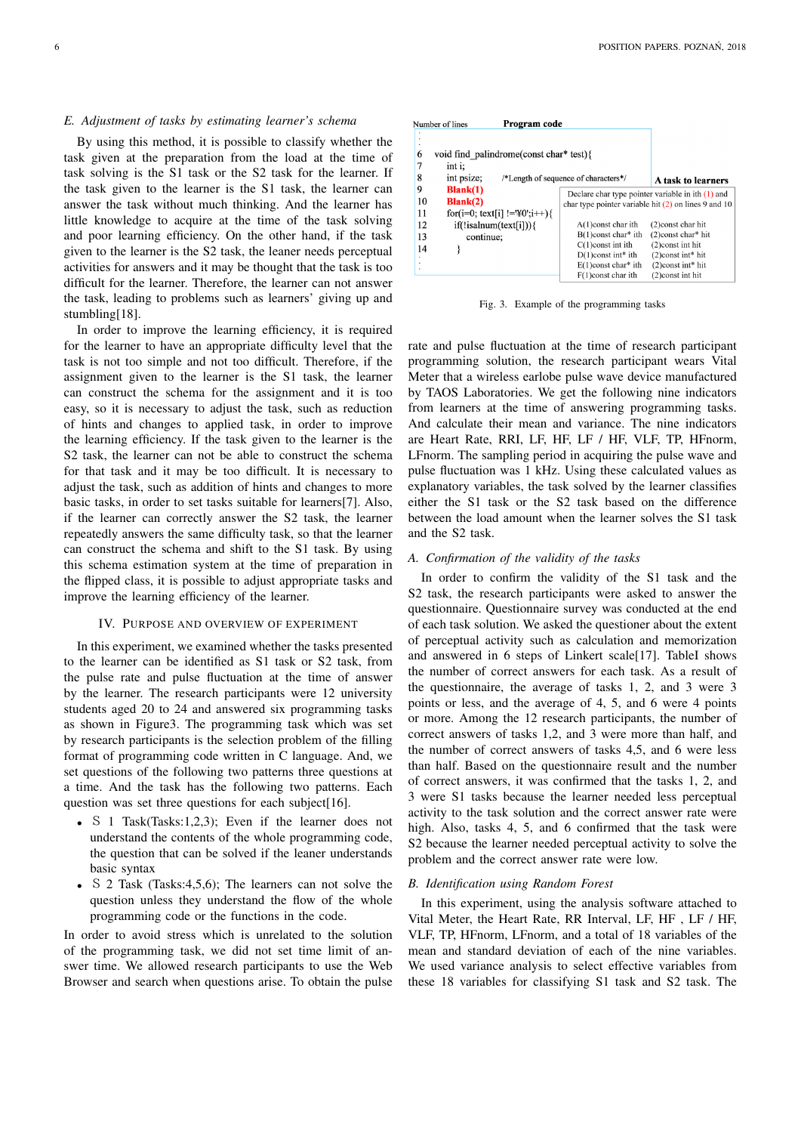#### *E. Adjustment of tasks by estimating learner's schema*

By using this method, it is possible to classify whether the task given at the preparation from the load at the time of task solving is the S1 task or the S2 task for the learner. If the task given to the learner is the S1 task, the learner can answer the task without much thinking. And the learner has little knowledge to acquire at the time of the task solving and poor learning efficiency. On the other hand, if the task given to the learner is the S2 task, the leaner needs perceptual activities for answers and it may be thought that the task is too difficult for the learner. Therefore, the learner can not answer the task, leading to problems such as learners' giving up and stumbling[18].

In order to improve the learning efficiency, it is required for the learner to have an appropriate difficulty level that the task is not too simple and not too difficult. Therefore, if the assignment given to the learner is the S1 task, the learner can construct the schema for the assignment and it is too easy, so it is necessary to adjust the task, such as reduction of hints and changes to applied task, in order to improve the learning efficiency. If the task given to the learner is the S2 task, the learner can not be able to construct the schema for that task and it may be too difficult. It is necessary to adjust the task, such as addition of hints and changes to more basic tasks, in order to set tasks suitable for learners[7]. Also, if the learner can correctly answer the S2 task, the learner repeatedly answers the same difficulty task, so that the learner can construct the schema and shift to the S1 task. By using this schema estimation system at the time of preparation in the flipped class, it is possible to adjust appropriate tasks and improve the learning efficiency of the learner.

## IV. PURPOSE AND OVERVIEW OF EXPERIMENT

In this experiment, we examined whether the tasks presented to the learner can be identified as S1 task or S2 task, from the pulse rate and pulse fluctuation at the time of answer by the learner. The research participants were 12 university students aged 20 to 24 and answered six programming tasks as shown in Figure3. The programming task which was set by research participants is the selection problem of the filling format of programming code written in C language. And, we set questions of the following two patterns three questions at a time. And the task has the following two patterns. Each question was set three questions for each subject[16].

- S 1 Task(Tasks:1,2,3); Even if the learner does not understand the contents of the whole programming code, the question that can be solved if the leaner understands basic syntax
- S 2 Task (Tasks: 4, 5, 6); The learners can not solve the question unless they understand the flow of the whole programming code or the functions in the code.

In order to avoid stress which is unrelated to the solution of the programming task, we did not set time limit of answer time. We allowed research participants to use the Web Browser and search when questions arise. To obtain the pulse

|    | Program code<br>Number of lines         |                                                        |                                  |
|----|-----------------------------------------|--------------------------------------------------------|----------------------------------|
|    |                                         |                                                        |                                  |
| 6  | void find palindrome(const char* test){ |                                                        |                                  |
| 7  | int i:                                  |                                                        |                                  |
| 8  | int psize;                              | /*Length of sequence of characters*/                   | A task to learners               |
| 9  | $Blank(1)$                              | Declare char type pointer variable in ith $(1)$ and    |                                  |
| 10 | $Blank(2)$                              | char type pointer variable hit $(2)$ on lines 9 and 10 |                                  |
| 11 | for(i=0; text[i] != $\Psi$ 0';i++) {    |                                                        |                                  |
| 12 | $if(!isalnum(text[i])){$                | $A(1)$ const char ith                                  | (2) const char hit               |
| 13 | continue;                               | $B(1)$ const char* ith                                 | $(2)$ const char* hit            |
| 14 |                                         | $C(1)$ const int ith                                   | (2) const int hit                |
|    |                                         | $D(1)$ const int* ith                                  | $(2)$ const int* hit             |
|    |                                         | $E(1)$ const char* ith                                 | $(2)$ const int <sup>*</sup> hit |
|    |                                         | $F(1)$ const char ith                                  | $(2)$ const int hit              |

Fig. 3. Example of the programming tasks

rate and pulse fluctuation at the time of research participant programming solution, the research participant wears Vital Meter that a wireless earlobe pulse wave device manufactured by TAOS Laboratories. We get the following nine indicators from learners at the time of answering programming tasks. And calculate their mean and variance. The nine indicators are Heart Rate, RRI, LF, HF, LF / HF, VLF, TP, HFnorm, LFnorm. The sampling period in acquiring the pulse wave and pulse fluctuation was 1 kHz. Using these calculated values as explanatory variables, the task solved by the learner classifies either the S1 task or the S2 task based on the difference between the load amount when the learner solves the S1 task and the S2 task.

### *A. Confirmation of the validity of the tasks*

In order to confirm the validity of the S1 task and the S2 task, the research participants were asked to answer the questionnaire. Questionnaire survey was conducted at the end of each task solution. We asked the questioner about the extent of perceptual activity such as calculation and memorization and answered in 6 steps of Linkert scale[17]. TableI shows the number of correct answers for each task. As a result of the questionnaire, the average of tasks 1, 2, and 3 were 3 points or less, and the average of 4, 5, and 6 were 4 points or more. Among the 12 research participants, the number of correct answers of tasks 1,2, and 3 were more than half, and the number of correct answers of tasks 4,5, and 6 were less than half. Based on the questionnaire result and the number of correct answers, it was confirmed that the tasks 1, 2, and 3 were S1 tasks because the learner needed less perceptual activity to the task solution and the correct answer rate were high. Also, tasks 4, 5, and 6 confirmed that the task were S2 because the learner needed perceptual activity to solve the problem and the correct answer rate were low.

## *B. Identification using Random Forest*

In this experiment, using the analysis software attached to Vital Meter, the Heart Rate, RR Interval, LF, HF , LF / HF, VLF, TP, HFnorm, LFnorm, and a total of 18 variables of the mean and standard deviation of each of the nine variables. We used variance analysis to select effective variables from these 18 variables for classifying S1 task and S2 task. The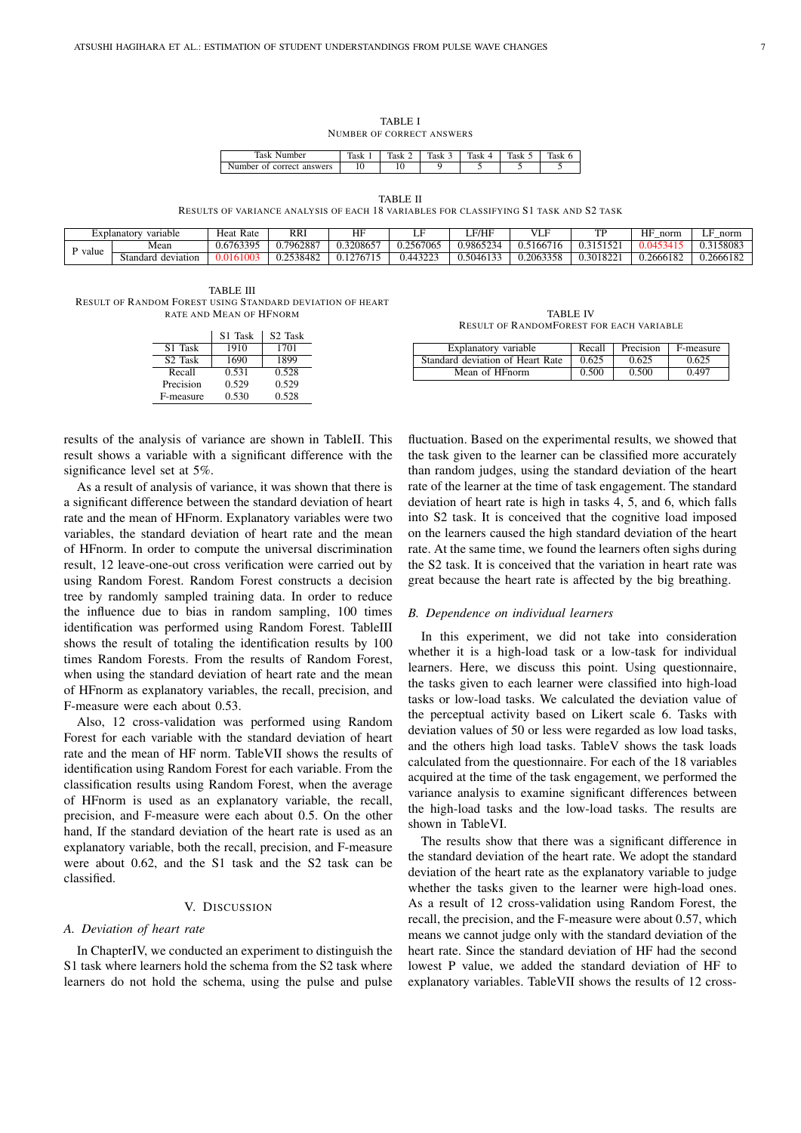TABLE I NUMBER OF CORRECT ANSWERS

| ≖<br>۳۵۰.<br>$\cdots$<br>10            | --             | ÷                 | $\sim$ | <u>тва</u><br>145 N | $\sim$<br>145 N | – |
|----------------------------------------|----------------|-------------------|--------|---------------------|-----------------|---|
| nhei<br>ans<br>wers<br>ור־<br>ור<br>-- | $\overline{1}$ | $\cdot$ $\bullet$ |        |                     |                 |   |

TABLE II

RESULTS OF VARIANCE ANALYSIS OF EACH 18 VARIABLES FOR CLASSIFYING S1 TASK AND S2 TASK

|       | variable<br>±xplanatorv | Rate<br>Heat     | <b>RRI</b>             | <b>TIT</b><br>п | LF              | <b>F/HF</b>                        | T                | TЕ       | HF<br>norm    | norm.     |
|-------|-------------------------|------------------|------------------------|-----------------|-----------------|------------------------------------|------------------|----------|---------------|-----------|
| value | Mean                    | 0.6763305<br>v.v | 7962887.ر              | J.3208657       | .2567065<br>0.4 | 0.9865<br>'34.                     | <b>166</b>       |          | $0.0^{\circ}$ | '15808.   |
|       | Standard<br>deviation   |                  | .2538482<br>. <u>.</u> | 1276            | 0.44322         | $J.\overline{504613}$ <sup>2</sup> | 1.2063358<br>558 | 0.301822 | 0.2666182     | 0.2666182 |

TABLE III RESULT OF RANDOM FOREST USING STANDARD DEVIATION OF HEART RATE AND MEAN OF HFNORM

|                     | S <sub>1</sub> Task | S <sub>2</sub> Task |
|---------------------|---------------------|---------------------|
| S <sub>1</sub> Task | 1910                | 1701                |
| S <sub>2</sub> Task | 1690                | 1899                |
| Recall              | 0.531               | 0.528               |
| Precision           | 0.529               | 0.529               |
| F-measure           | 0.530               | 0.528               |

results of the analysis of variance are shown in TableII. This result shows a variable with a significant difference with the significance level set at 5%.

As a result of analysis of variance, it was shown that there is a significant difference between the standard deviation of heart rate and the mean of HFnorm. Explanatory variables were two variables, the standard deviation of heart rate and the mean of HFnorm. In order to compute the universal discrimination result, 12 leave-one-out cross verification were carried out by using Random Forest. Random Forest constructs a decision tree by randomly sampled training data. In order to reduce the influence due to bias in random sampling, 100 times identification was performed using Random Forest. TableIII shows the result of totaling the identification results by 100 times Random Forests. From the results of Random Forest, when using the standard deviation of heart rate and the mean of HFnorm as explanatory variables, the recall, precision, and F-measure were each about 0.53.

Also, 12 cross-validation was performed using Random Forest for each variable with the standard deviation of heart rate and the mean of HF norm. TableVII shows the results of identification using Random Forest for each variable. From the classification results using Random Forest, when the average of HFnorm is used as an explanatory variable, the recall, precision, and F-measure were each about 0.5. On the other hand, If the standard deviation of the heart rate is used as an explanatory variable, both the recall, precision, and F-measure were about 0.62, and the S1 task and the S2 task can be classified.

# V. DISCUSSION

#### *A. Deviation of heart rate*

In ChapterIV, we conducted an experiment to distinguish the S1 task where learners hold the schema from the S2 task where learners do not hold the schema, using the pulse and pulse

TABLE IV RESULT OF RANDOMFOREST FOR EACH VARIABLE

| Explanatory variable             | Recall | Precision | F-measure |
|----------------------------------|--------|-----------|-----------|
| Standard deviation of Heart Rate | 0.625  | 0.625     | 0.625     |
| Mean of HFnorm                   | 0.500  | 0.500     | 0.497     |

fluctuation. Based on the experimental results, we showed that the task given to the learner can be classified more accurately than random judges, using the standard deviation of the heart rate of the learner at the time of task engagement. The standard deviation of heart rate is high in tasks 4, 5, and 6, which falls into S2 task. It is conceived that the cognitive load imposed on the learners caused the high standard deviation of the heart rate. At the same time, we found the learners often sighs during the S2 task. It is conceived that the variation in heart rate was great because the heart rate is affected by the big breathing.

#### *B. Dependence on individual learners*

In this experiment, we did not take into consideration whether it is a high-load task or a low-task for individual learners. Here, we discuss this point. Using questionnaire, the tasks given to each learner were classified into high-load tasks or low-load tasks. We calculated the deviation value of the perceptual activity based on Likert scale 6. Tasks with deviation values of 50 or less were regarded as low load tasks, and the others high load tasks. TableV shows the task loads calculated from the questionnaire. For each of the 18 variables acquired at the time of the task engagement, we performed the variance analysis to examine significant differences between the high-load tasks and the low-load tasks. The results are shown in TableVI.

The results show that there was a significant difference in the standard deviation of the heart rate. We adopt the standard deviation of the heart rate as the explanatory variable to judge whether the tasks given to the learner were high-load ones. As a result of 12 cross-validation using Random Forest, the recall, the precision, and the F-measure were about 0.57, which means we cannot judge only with the standard deviation of the heart rate. Since the standard deviation of HF had the second lowest P value, we added the standard deviation of HF to explanatory variables. TableVII shows the results of 12 cross-